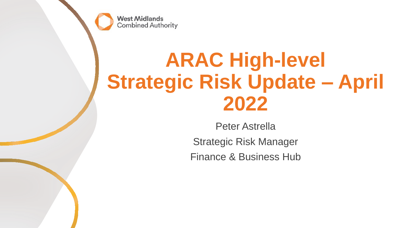**West Midlands Combined Authority** 

# **ARAC High-level Strategic Risk Update – April 2022**

Peter Astrella Strategic Risk Manager Finance & Business Hub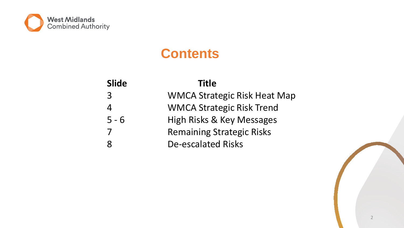

### **Contents**

| <b>Slide</b> | <b>Title</b>                        |
|--------------|-------------------------------------|
| 3            | <b>WMCA Strategic Risk Heat Map</b> |
| 4            | <b>WMCA Strategic Risk Trend</b>    |
| $5 - 6$      | High Risks & Key Messages           |
|              | <b>Remaining Strategic Risks</b>    |
|              | <b>De-escalated Risks</b>           |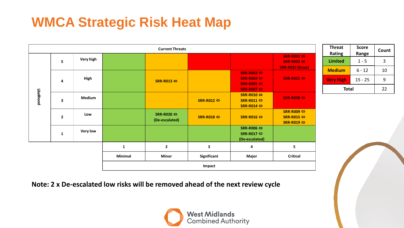## **WMCA Strategic Risk Heat Map**

|            |                |                 |         | <b>Current Threats</b>                       |                            |                                                                                                                      |                                                              |
|------------|----------------|-----------------|---------|----------------------------------------------|----------------------------|----------------------------------------------------------------------------------------------------------------------|--------------------------------------------------------------|
| Likelihood | 5              | Very high       |         |                                              |                            |                                                                                                                      | SRR-R001 $\Leftrightarrow$<br>SRR-R002 ⇔<br>SRR-R022 (Issue) |
|            | 4              | High            |         | SRR-R013 $\Leftrightarrow$                   |                            | SRR-R003 $\Leftrightarrow$<br>SRR-R004 $\Leftrightarrow$<br>SRR-R005 $\Leftrightarrow$<br>SRR-R007 $\Leftrightarrow$ | $SRR-R021 \Leftrightarrow$                                   |
|            | 3              | <b>Medium</b>   |         |                                              | SRR-R012 $\Leftrightarrow$ | SRR-R010 ⇔<br>SRR-R011 ⇔<br>SRR-R014 ⇔                                                                               | SRR-R008 $\Leftrightarrow$                                   |
|            | $\overline{2}$ | Low             |         | SRR-R020 $\Leftrightarrow$<br>(De-escalated) | SRR-R018 ⇔                 | SRR-R016 ⇔                                                                                                           | SRR-R009 ⇔<br>SRR-R015 ⇔<br>SRR-R019 ⇔                       |
|            | $\mathbf{1}$   | <b>Very low</b> |         |                                              |                            | SRR-R006 ⇔<br>SRR-R017 $\Leftrightarrow$<br>(De-escalated)                                                           |                                                              |
|            |                |                 | 1       | $\mathbf{2}$                                 | 3                          | 4                                                                                                                    | 5                                                            |
|            |                |                 | Minimal | <b>Minor</b>                                 | Significant                | Major                                                                                                                | <b>Critical</b>                                              |
|            |                |                 |         |                                              | Impact                     |                                                                                                                      |                                                              |

**Treat Rating Score Range Count hited** 1 - 5 3 <mark>dium |</mark> 6-12 | 10 **Very High** 15 - 25 9 **Total** 22

**Note: 2 x De-escalated low risks will be removed ahead of the next review cycle**

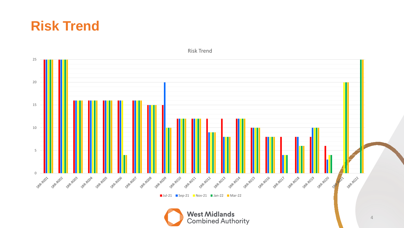



Risk Trend

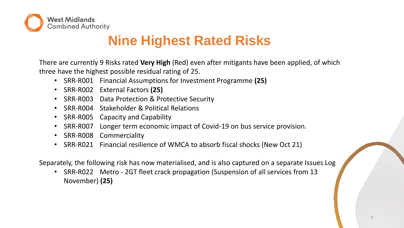

### **Nine Highest Rated Risks**

There are currently 9 Risks rated **Very High** (Red) even after mitigants have been applied, of which three have the highest possible residual rating of 25.

- SRR-R001 Financial Assumptions for Investment Programme **(25)**
- SRR-R002 External Factors **(25)**
- SRR-R003 Data Protection & Protective Security
- SRR-R004 Stakeholder & Political Relations
- SRR-R005 Capacity and Capability
- SRR-R007 Longer term economic impact of Covid-19 on bus service provision.
- SRR-R008 Commerciality
- SRR-R021 Financial resilience of WMCA to absorb fiscal shocks (New Oct 21)

Separately, the following risk has now materialised, and is also captured on a separate Issues Log

• SRR-R022 Metro - 2GT fleet crack propagation (Suspension of all services from 13 November) **(25)**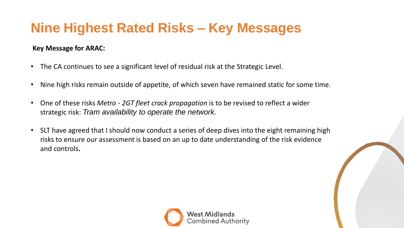### **Nine Highest Rated Risks – Key Messages**

### **Key Message for ARAC:**

- The CA continues to see a significant level of residual risk at the Strategic Level.
- Nine high risks remain outside of appetite, of which seven have remained static for some time.
- One of these risks *Metro - 2GT fleet crack propagation* is to be revised to reflect a wider strategic risk: *Tram availability to operate the network.*
- SLT have agreed that I should now conduct a series of deep dives into the eight remaining high risks to ensure our assessment is based on an up to date understanding of the risk evidence and controls**.**

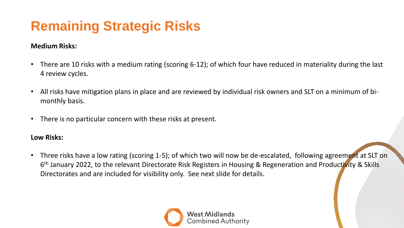# **Remaining Strategic Risks**

### **Medium Risks:**

- There are 10 risks with a medium rating (scoring 6-12); of which four have reduced in materiality during the last 4 review cycles.
- All risks have mitigation plans in place and are reviewed by individual risk owners and SLT on a minimum of bimonthly basis.
- There is no particular concern with these risks at present.

#### **Low Risks:**

• Three risks have a low rating (scoring 1-5); of which two will now be de-escalated, following agreement at SLT on 6<sup>th</sup> January 2022, to the relevant Directorate Risk Registers in Housing & Regeneration and Productivity & Skills Directorates and are included for visibility only. See next slide for details.